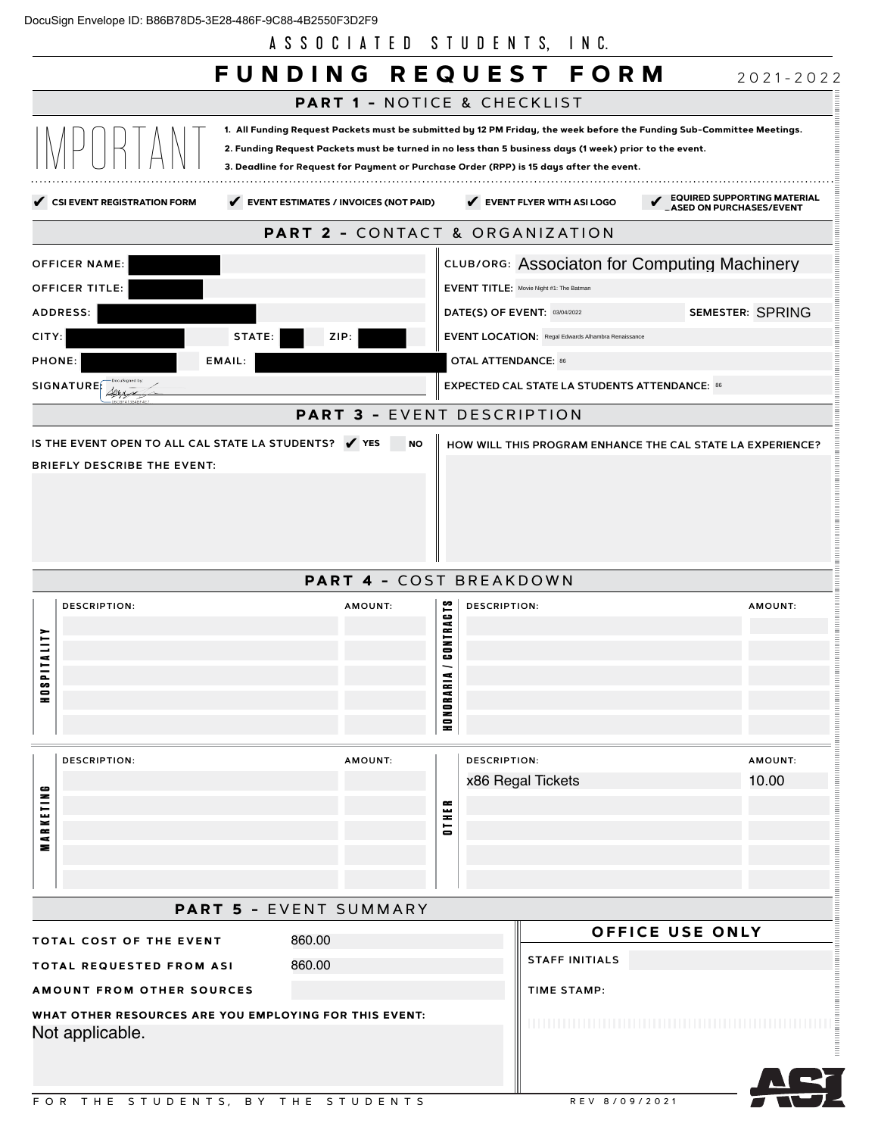|  | DocuSign Envelope ID: B86B78D5-3E28-486F-9C88-4B2550F3D2F9 |  |  |
|--|------------------------------------------------------------|--|--|
|  |                                                            |  |  |
|  |                                                            |  |  |

A S S O C I A T E D S T U D E N T S, I N C.

|                                                                                                                                                                      | A S S U U I A I E DI S I U DENII S,<br>FUNDING REQUEST FORM                                                                                                                                                                                                                                                                |                                                           | INU.                                                                                                                                                                                         |                                                                      |
|----------------------------------------------------------------------------------------------------------------------------------------------------------------------|----------------------------------------------------------------------------------------------------------------------------------------------------------------------------------------------------------------------------------------------------------------------------------------------------------------------------|-----------------------------------------------------------|----------------------------------------------------------------------------------------------------------------------------------------------------------------------------------------------|----------------------------------------------------------------------|
|                                                                                                                                                                      | <b>PART 1 - NOTICE &amp; CHECKLIST</b>                                                                                                                                                                                                                                                                                     |                                                           |                                                                                                                                                                                              | $2021 - 2022$                                                        |
|                                                                                                                                                                      | 1. All Funding Request Packets must be submitted by 12 PM Friday, the week before the Funding Sub-Committee Meetings.<br>2. Funding Request Packets must be turned in no less than 5 business days (1 week) prior to the event.<br>3. Deadline for Request for Payment or Purchase Order (RPP) is 15 days after the event. |                                                           |                                                                                                                                                                                              |                                                                      |
| CSI EVENT REGISTRATION FORM                                                                                                                                          | EVENT ESTIMATES / INVOICES (NOT PAID)                                                                                                                                                                                                                                                                                      |                                                           | EVENT FLYER WITH ASI LOGO                                                                                                                                                                    | <b>EQUIRED SUPPORTING MATERIAL</b><br><b>ASED ON PURCHASES/EVENT</b> |
|                                                                                                                                                                      | <b>PART 2 - CONTACT &amp; ORGANIZATION</b>                                                                                                                                                                                                                                                                                 |                                                           |                                                                                                                                                                                              |                                                                      |
| <b>OFFICER NAME:</b><br>OFFICER TITLE:<br>ADDRESS:<br>CITY:<br>PHONE:<br>EMAIL:<br>SIGNATURE                                                                         | STATE:<br>ZIP:<br><b>PART 3 - EVENT DESCRIPTION</b>                                                                                                                                                                                                                                                                        | <b>OTAL ATTENDANCE: 86</b>                                | EVENT TITLE: Movie Night #1: The Batman<br>DATE(S) OF EVENT: 03/04/2022<br><b>EVENT LOCATION: Regal Edwards Alhambra Renaissance</b><br><b>EXPECTED CAL STATE LA STUDENTS ATTENDANCE: 86</b> | CLUB/ORG: Associaton for Computing Machinery<br>SEMESTER: SPRING     |
| IS THE EVENT OPEN TO ALL CAL STATE LA STUDENTS? V YES<br><b>BRIEFLY DESCRIBE THE EVENT:</b>                                                                          | <b>NO</b>                                                                                                                                                                                                                                                                                                                  |                                                           |                                                                                                                                                                                              | HOW WILL THIS PROGRAM ENHANCE THE CAL STATE LA EXPERIENCE?           |
|                                                                                                                                                                      | <b>PART 4 - COST BREAKDOWN</b>                                                                                                                                                                                                                                                                                             |                                                           |                                                                                                                                                                                              |                                                                      |
| <b>DESCRIPTION:</b><br><b>ALLIY</b><br>$\overline{a}$<br>s<br>0<br>$\equiv$                                                                                          | AMOUNT:                                                                                                                                                                                                                                                                                                                    | <b>NTRACTS</b><br><b>DESCRIPTION:</b><br>룹<br>ã<br>HONORA |                                                                                                                                                                                              | AMOUNT:                                                              |
| <b>DESCRIPTION:</b><br>ه<br>z<br><b>KETH</b><br>$\approx$<br>$\epsilon$<br>⋝                                                                                         | AMOUNT:                                                                                                                                                                                                                                                                                                                    | <b>DESCRIPTION:</b><br>EÑ<br>$\overline{\phantom{0}}$     | x86 Regal Tickets                                                                                                                                                                            | AMOUNT:<br>10.00                                                     |
|                                                                                                                                                                      | <b>PART 5 - EVENT SUMMARY</b>                                                                                                                                                                                                                                                                                              |                                                           |                                                                                                                                                                                              |                                                                      |
| TOTAL COST OF THE EVENT<br>TOTAL REQUESTED FROM ASI<br><b>AMOUNT FROM OTHER SOURCES</b><br>WHAT OTHER RESOURCES ARE YOU EMPLOYING FOR THIS EVENT:<br>Not applicable. | 860.00<br>860.00                                                                                                                                                                                                                                                                                                           |                                                           | <b>STAFF INITIALS</b><br><b>TIME STAMP:</b>                                                                                                                                                  | OFFICE USE ONLY                                                      |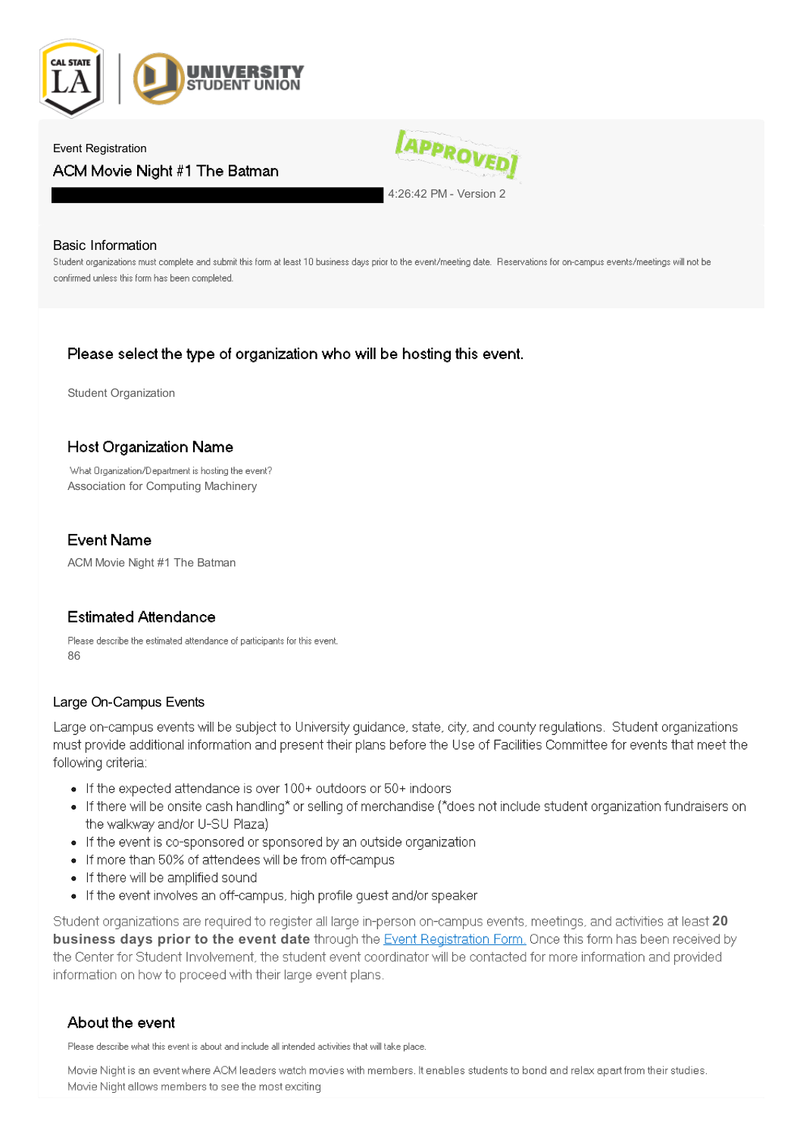

### Event Registration ACM Movie Night #1 The Batman



4:26:42 PM - Version 2

### Basic Information

Student organizations must complete and submit this form at least 10 business days prior to the event/meeting date. Reservations for on-campus events/meetings will not be confirmed unless this form has been completed.

### Please select the type of organization who will be hosting this event.

Student Organization

### **Host Organization Name**

What Organization/Department is hosting the event? Association for Computing Machinery

### **Event Name**

ACM Movie Night #1 The Batman

### **Estimated Attendance**

Please describe the estimated attendance of participants for this event. 86

### Large On-Campus Events

Large on-campus events will be subject to University quidance, state, city, and county requlations. Student organizations must provide additional information and present their plans before the Use of Facilities Committee for events that meet the following criteria:

- If the expected attendance is over 100+ outdoors or 50+ indoors
- If there will be onsite cash handling\* or selling of merchandise (\*does not include student organization fundraisers on the walkway and/or U-SU Plaza)
- If the event is co-sponsored or sponsored by an outside organization
- If more than 50% of attendees will be from off-campus
- If there will be amplified sound
- If the event involves an off-campus, high profile quest and/or speaker

Student organizations are required to register all large in-person on-campus events, meetings, and activities at least 20 **business days prior to the event date** through the **Event Registration Form**. Once this form has been received by the Center for Student Involvement, the student event coordinator will be contacted for more information and provided information on how to proceed with their large event plans.

### About the event

Please describe what this event is about and include all intended activities that will take place.

Movie Night is an event where ACM leaders watch movies with members. It enables students to bond and relax apart from their studies. Movie Night allows members to see the most exciting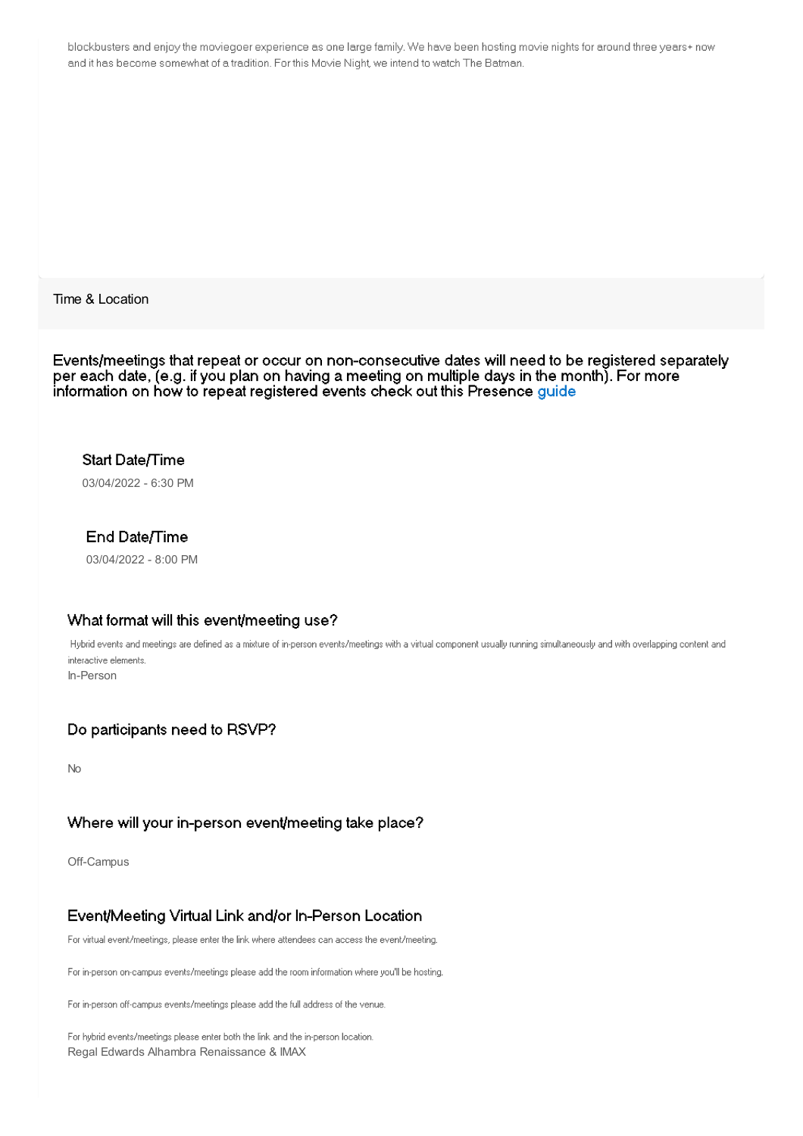blockbusters and enjoy the moviegoer experience as one large family. We have been hosting movie nights for around three years+ now and it has become somewhat of a tradition. For this Movie Night, we intend to watch The Batman.

Time & Location

Events/meetings that repeat or occur on non-consecutive dates will need to be registered separately per each date, (e.g. if you plan on having a meeting on multiple days in the month). For more information on how to repeat registered events check out this Presence guide

### Start Date/Time

03/04/2022 - 6:30 PM

### End Date/Time

03/04/2022 - 8:00 PM

### What format will this event/meeting use?

Hybrid events and meetings are defined as a mixture of in-person events/meetings with a virtual component usually running simultaneously and with overlapping content and interactive elements. In-Person

### Do participants need to RSVP?

No

### Where will your in-person event/meeting take place?

Off-Campus

### Event/Meeting Virtual Link and/or In-Person Location

For virtual event/meetings, please enter the link where attendees can access the event/meeting.

For in-person on-campus events/meetings please add the room information where you'll be hosting.

For in-person off-campus events/meetings please add the full address of the venue.

For hybrid events/meetings please enter both the link and the in-person location. Regal Edwards Alhambra Renaissance & IMAX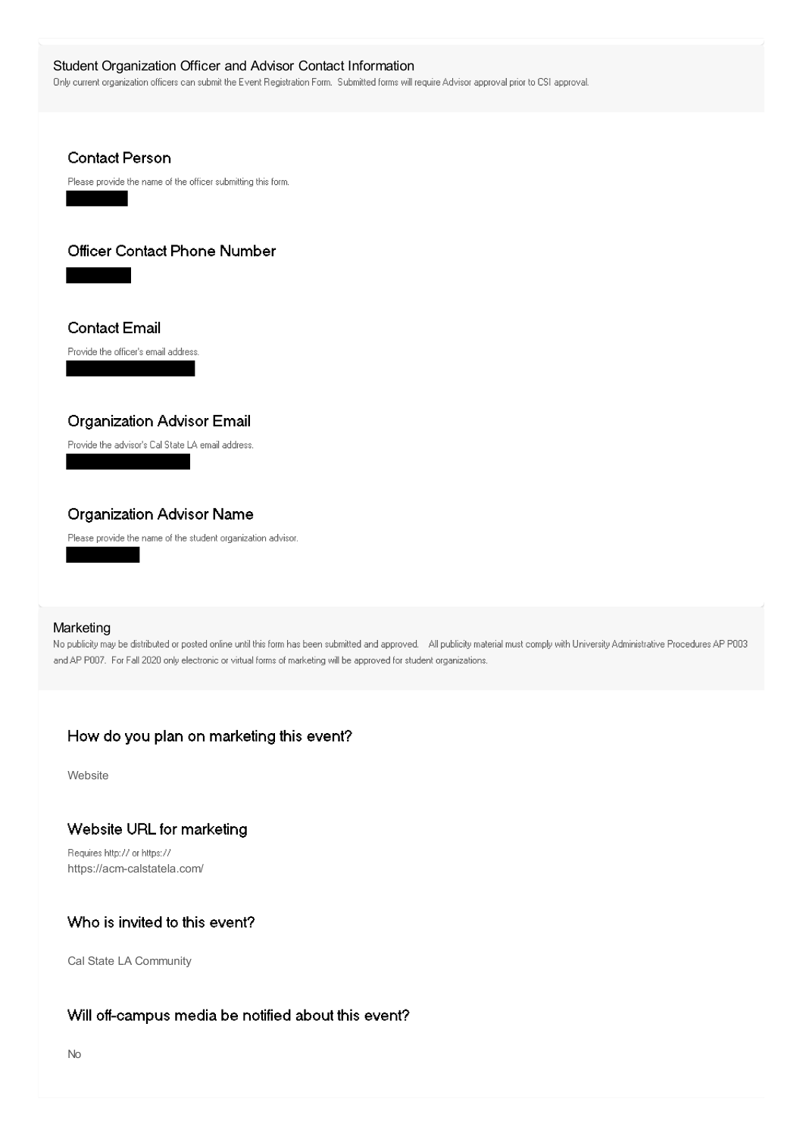Student Organization Officer and Advisor Contact Information<br>
Only current organization officers can submit the Event Registration Form. Submitted forms will require Advisor approval prior to CSI approval.

### **Contact Person**

Please provide the name of the officer submitting this form.

### Officer Contact Phone Number

**Contact Email** 

Provide the officer's email address.

### **Organization Advisor Email**

Provide the advisor's Cal State LA email address.

### **Organization Advisor Name**

Please provide the name of the student organization advisor.

### **Marketing**

No publicity may be distributed or posted online until this form has been submitted and approved. All publicity material must comply with University Administrative Procedures AP P003 and AP P007. For Fall 2020 only electronic or virtual forms of marketing will be approved for student organizations.

### How do you plan on marketing this event?

Website

### Website URL for marketing

Requires http:// or https:// https://acm-calstatela.com/

### Who is invited to this event?

Cal State LA Community

### Will off-campus media be notified about this event?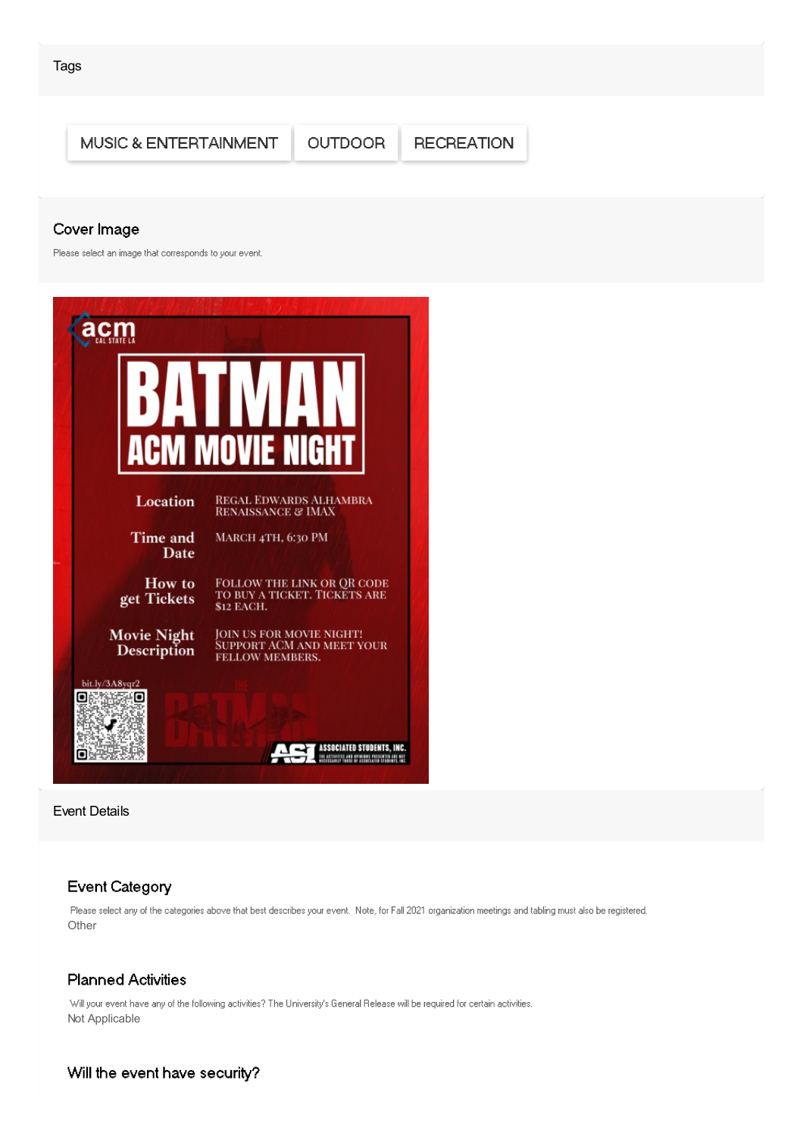

Event Details

### **Event Category**

Please select any of the categories above that best describes your event. Note, for Fall 2021 organization meetings and tabling must also be registered. Other

### **Planned Activities**

Will your event have any of the following activities? The University's General Release will be required for certain activities. Not Applicable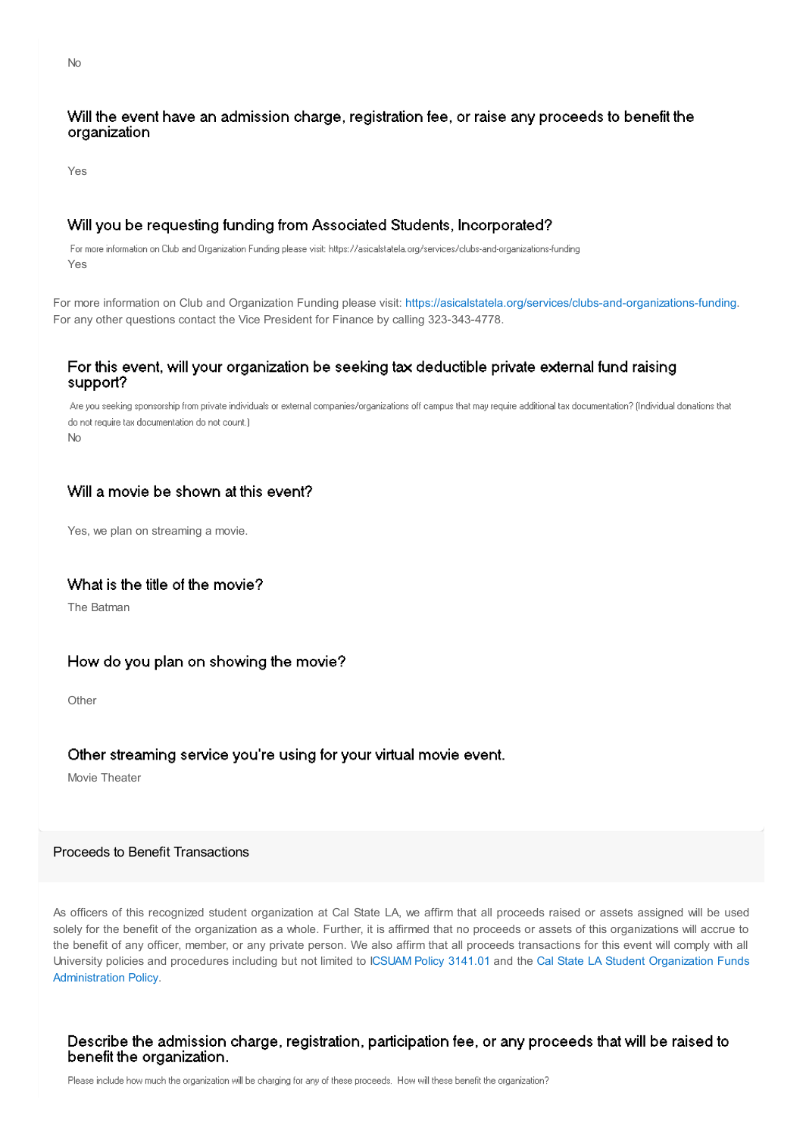### Will the event have an admission charge, registration fee, or raise any proceeds to benefit the organization

Yes

### Will you be requesting funding from Associated Students, Incorporated?

For more information on Club and Organization Funding please visit: https://asicalstatela.org/services/clubs-and-organizations-funding Yes

For more information on Club and Organization Funding please visit: <https://asicalstatela.org/services/clubs-and-organizations-funding>. For any other questions contact the Vice President for Finance by calling 323-343-4778.

### For this event, will your organization be seeking tax deductible private external fund raising support?

Are you seeking sponsorship from private individuals or external companies/organizations off campus that may require additional tax documentation? (Individual donations that do not require tax documentation do not count.) No

### Will a movie be shown at this event?

Yes, we plan on streaming a movie.

### What is the title of the movie?

The Batman

### How do you plan on showing the movie?

**Other** 

### Other streaming service you're using for your virtual movie event.

Movie Theater

### Proceeds to Benefit Transactions

As officers of this recognized student organization at Cal State LA, we affirm that all proceeds raised or assets assigned will be used solely for the benefit of the organization as a whole. Further, it is affirmed that no proceeds or assets of this organizations will accrue to the benefit of any officer, member, or any private person. We also affirm that all proceeds transactions for this event will comply with all University policies and procedures including but not limited to [ICSUAM](http://www.calstatela.edu/sites/default/files/users/u62011/3141-01.pdf) Policy [3141.01](http://www.calstatela.edu/sites/default/files/users/u62011/3141-01.pdf) and the Cal State LA Student [Organization](http://www.calstatela.edu/studentservices/cal-state-la-student-organization-funds-administration-policy#overlay-context=node/379101/draft) Funds Administration Policy.

### Describe the admission charge, registration, participation fee, or any proceeds that will be raised to benefit the organization.

No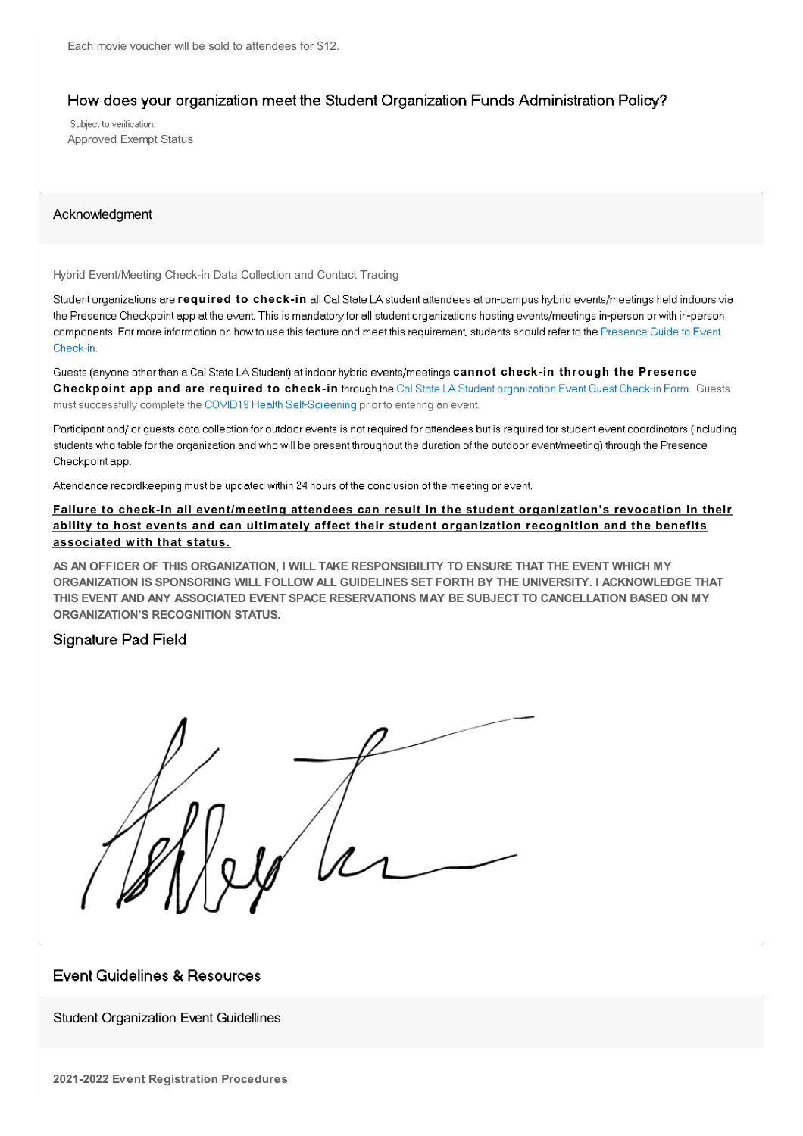### How does your organization meet the Student Organization Funds Administration Policy?

Subject to verification. Approved Exempt Status

### Acknowledgment

Hybrid Event/Meeting Check-in Data Collection and Contact Tracing

Student organizations are *required* to check-in all Cal State LA student attendees at on-campus hybrid events/meetings held indoors via the Presence Checkpoint app at the event. This is mandatory for all student organizations hosting events/meetings in-person or with in-person components. For more information on how to use this feature and meet this requirement, students should refer to the Presence Guide to Event Check-in

Guests (anyone other than a Cal State LA Student) at indoor hybrid events/meetings cannot check-in through the Presence **Checkpoint app and are required to check-in** must successfully complete the COVID19 Health Self-Screening prior to entering an event.

Participant and/or quests data collection for outdoor events is not required for attendees but is required for student event coordinators (including students who table for the organization and who will be present throughout the duration of the outdoor event/meeting) through the Presence Checkpoint app.

Attendance recordkeeping must be updated within 24 hours of the conclusion of the meeting or event.

### **Failure to check-in all event/meeting attendees can result in the student organization's revocation in their ability to host events and can ultimately affect their student organization recognition and the benefits associated with that status.**

**AS AN OFFICER OF THIS ORGANIZATION, I WILL TAKE RESPONSIBILITY TO ENSURE THAT THE EVENT WHICH MY ORGANIZATION IS SPONSORING WILL FOLLOW ALL GUIDELINES SET FORTH BY THE UNIVERSITY. I ACKNOWLEDGE THAT THIS EVENT AND ANY ASSOCIATED EVENT SPACE RESERVATIONS MAY BE SUBJECT TO CANCELLATION BASED ON MY ORGANIZATION'S RECOGNITION STATUS.**

### Signature Pad Field

### **Event Guidelines & Resources**

Student Organization Event Guidellines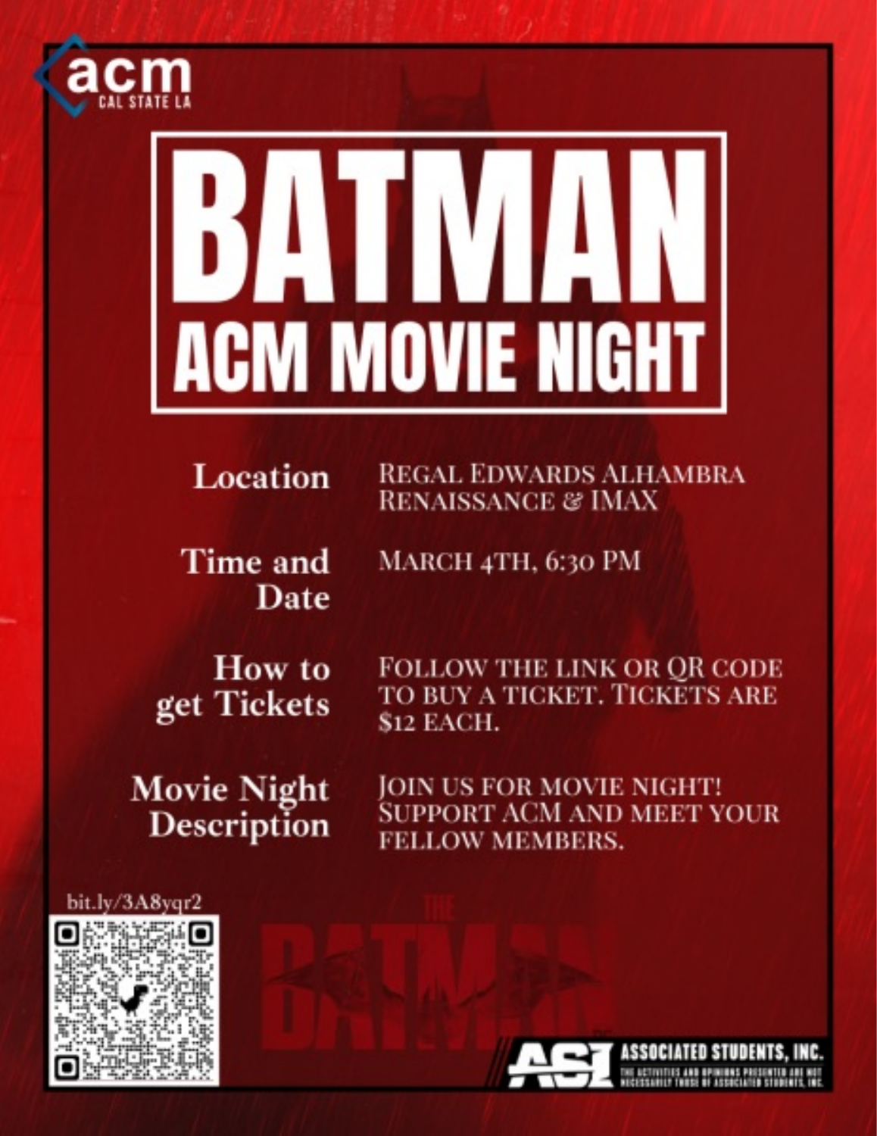

# **ACM MOVIE NIGHT**

### Location **REGAL EDWARDS ALHAMBRA RENAISSANCE & IMAX**

Time and Date MARCH 4TH, 6:30 PM

How to get Tickets

**FOLLOW THE LINK OR OR CODE** TO BUY A TICKET. TICKETS ARE **\$12 EACH.** 

**Movie Night** Description

JOIN US FOR MOVIE NIGHT! **SUPPORT ACM AND MEET YOUR** FELLOW MEMBERS.

### bit.lv/3A8var2